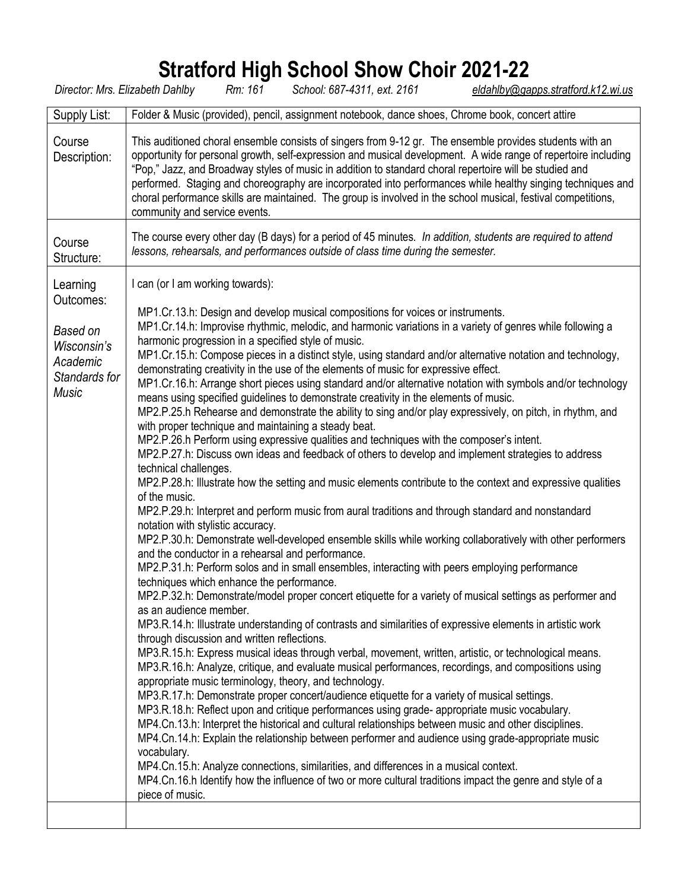## **Stratford High School Show Choir 2021-22** *Director: Mrs. Elizabeth Dahlby Rm: 161 School: 687-4311, ext. 2161 [eldahlby@gapps.stratford.k12.wi.us](mailto:eldahlby@gapps.stratford.k12.wi.us)*

| Supply List:                                                                           | Folder & Music (provided), pencil, assignment notebook, dance shoes, Chrome book, concert attire                                                                                                                                                                                                                                                                                                                                                                                                                                                                                                                                                                                                                                                                                                                                                                                                                                                                                                                                                                                                                                                                                                                                                                                                                                                                                                                                                                                                                                                                                                                                                                                                                                                                                                                                                                                                                                                                                                                                                                                                                                                                                                                                                                                                                                                                                                                                                                                                                                                                                                                                                                                                                                                                                                                                                                                                                                             |  |  |  |  |  |
|----------------------------------------------------------------------------------------|----------------------------------------------------------------------------------------------------------------------------------------------------------------------------------------------------------------------------------------------------------------------------------------------------------------------------------------------------------------------------------------------------------------------------------------------------------------------------------------------------------------------------------------------------------------------------------------------------------------------------------------------------------------------------------------------------------------------------------------------------------------------------------------------------------------------------------------------------------------------------------------------------------------------------------------------------------------------------------------------------------------------------------------------------------------------------------------------------------------------------------------------------------------------------------------------------------------------------------------------------------------------------------------------------------------------------------------------------------------------------------------------------------------------------------------------------------------------------------------------------------------------------------------------------------------------------------------------------------------------------------------------------------------------------------------------------------------------------------------------------------------------------------------------------------------------------------------------------------------------------------------------------------------------------------------------------------------------------------------------------------------------------------------------------------------------------------------------------------------------------------------------------------------------------------------------------------------------------------------------------------------------------------------------------------------------------------------------------------------------------------------------------------------------------------------------------------------------------------------------------------------------------------------------------------------------------------------------------------------------------------------------------------------------------------------------------------------------------------------------------------------------------------------------------------------------------------------------------------------------------------------------------------------------------------------------|--|--|--|--|--|
| Course<br>Description:                                                                 | This auditioned choral ensemble consists of singers from 9-12 gr. The ensemble provides students with an<br>opportunity for personal growth, self-expression and musical development. A wide range of repertoire including<br>"Pop," Jazz, and Broadway styles of music in addition to standard choral repertoire will be studied and<br>performed. Staging and choreography are incorporated into performances while healthy singing techniques and<br>choral performance skills are maintained. The group is involved in the school musical, festival competitions,<br>community and service events.                                                                                                                                                                                                                                                                                                                                                                                                                                                                                                                                                                                                                                                                                                                                                                                                                                                                                                                                                                                                                                                                                                                                                                                                                                                                                                                                                                                                                                                                                                                                                                                                                                                                                                                                                                                                                                                                                                                                                                                                                                                                                                                                                                                                                                                                                                                                       |  |  |  |  |  |
| Course<br>Structure:                                                                   | The course every other day (B days) for a period of 45 minutes. In addition, students are required to attend<br>lessons, rehearsals, and performances outside of class time during the semester.                                                                                                                                                                                                                                                                                                                                                                                                                                                                                                                                                                                                                                                                                                                                                                                                                                                                                                                                                                                                                                                                                                                                                                                                                                                                                                                                                                                                                                                                                                                                                                                                                                                                                                                                                                                                                                                                                                                                                                                                                                                                                                                                                                                                                                                                                                                                                                                                                                                                                                                                                                                                                                                                                                                                             |  |  |  |  |  |
| Learning<br>Outcomes:<br>Based on<br>Wisconsin's<br>Academic<br>Standards for<br>Music | I can (or I am working towards):<br>MP1.Cr.13.h: Design and develop musical compositions for voices or instruments.<br>MP1.Cr.14.h: Improvise rhythmic, melodic, and harmonic variations in a variety of genres while following a<br>harmonic progression in a specified style of music.<br>MP1.Cr.15.h: Compose pieces in a distinct style, using standard and/or alternative notation and technology,<br>demonstrating creativity in the use of the elements of music for expressive effect.<br>MP1.Cr.16.h: Arrange short pieces using standard and/or alternative notation with symbols and/or technology<br>means using specified guidelines to demonstrate creativity in the elements of music.<br>MP2.P.25.h Rehearse and demonstrate the ability to sing and/or play expressively, on pitch, in rhythm, and<br>with proper technique and maintaining a steady beat.<br>MP2.P.26.h Perform using expressive qualities and techniques with the composer's intent.<br>MP2.P.27.h: Discuss own ideas and feedback of others to develop and implement strategies to address<br>technical challenges.<br>MP2.P.28.h: Illustrate how the setting and music elements contribute to the context and expressive qualities<br>of the music.<br>MP2.P.29.h: Interpret and perform music from aural traditions and through standard and nonstandard<br>notation with stylistic accuracy.<br>MP2.P.30.h: Demonstrate well-developed ensemble skills while working collaboratively with other performers<br>and the conductor in a rehearsal and performance.<br>MP2.P.31.h: Perform solos and in small ensembles, interacting with peers employing performance<br>techniques which enhance the performance.<br>MP2.P.32.h: Demonstrate/model proper concert etiquette for a variety of musical settings as performer and<br>as an audience member.<br>MP3.R.14.h: Illustrate understanding of contrasts and similarities of expressive elements in artistic work<br>through discussion and written reflections.<br>MP3.R.15.h: Express musical ideas through verbal, movement, written, artistic, or technological means.<br>MP3.R.16.h: Analyze, critique, and evaluate musical performances, recordings, and compositions using<br>appropriate music terminology, theory, and technology.<br>MP3.R.17.h: Demonstrate proper concert/audience etiquette for a variety of musical settings.<br>MP3.R.18.h: Reflect upon and critique performances using grade-appropriate music vocabulary.<br>MP4.Cn.13.h: Interpret the historical and cultural relationships between music and other disciplines.<br>MP4.Cn.14.h: Explain the relationship between performer and audience using grade-appropriate music<br>vocabulary.<br>MP4.Cn.15.h: Analyze connections, similarities, and differences in a musical context.<br>MP4.Cn.16.h Identify how the influence of two or more cultural traditions impact the genre and style of a<br>piece of music. |  |  |  |  |  |
|                                                                                        |                                                                                                                                                                                                                                                                                                                                                                                                                                                                                                                                                                                                                                                                                                                                                                                                                                                                                                                                                                                                                                                                                                                                                                                                                                                                                                                                                                                                                                                                                                                                                                                                                                                                                                                                                                                                                                                                                                                                                                                                                                                                                                                                                                                                                                                                                                                                                                                                                                                                                                                                                                                                                                                                                                                                                                                                                                                                                                                                              |  |  |  |  |  |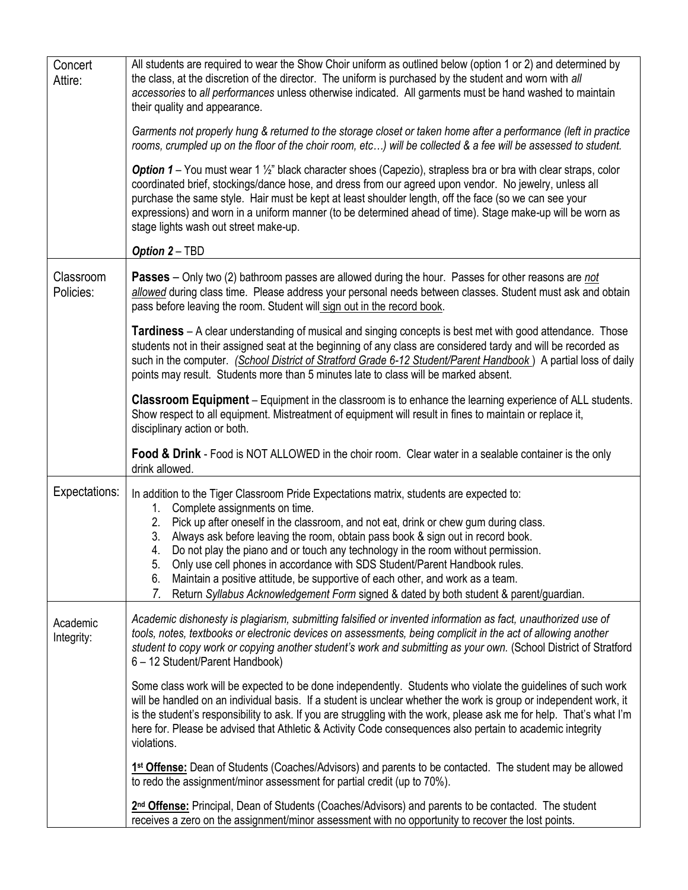| Concert<br>Attire:     | All students are required to wear the Show Choir uniform as outlined below (option 1 or 2) and determined by<br>the class, at the discretion of the director. The uniform is purchased by the student and worn with all<br>accessories to all performances unless otherwise indicated. All garments must be hand washed to maintain<br>their quality and appearance.                                                                                                                                 |  |  |  |  |  |  |
|------------------------|------------------------------------------------------------------------------------------------------------------------------------------------------------------------------------------------------------------------------------------------------------------------------------------------------------------------------------------------------------------------------------------------------------------------------------------------------------------------------------------------------|--|--|--|--|--|--|
|                        | Garments not properly hung & returned to the storage closet or taken home after a performance (left in practice<br>rooms, crumpled up on the floor of the choir room, etc) will be collected & a fee will be assessed to student.                                                                                                                                                                                                                                                                    |  |  |  |  |  |  |
|                        | Option 1 – You must wear 1 1/2" black character shoes (Capezio), strapless bra or bra with clear straps, color<br>coordinated brief, stockings/dance hose, and dress from our agreed upon vendor. No jewelry, unless all<br>purchase the same style. Hair must be kept at least shoulder length, off the face (so we can see your<br>expressions) and worn in a uniform manner (to be determined ahead of time). Stage make-up will be worn as<br>stage lights wash out street make-up.              |  |  |  |  |  |  |
|                        | Option 2 - TBD                                                                                                                                                                                                                                                                                                                                                                                                                                                                                       |  |  |  |  |  |  |
| Classroom<br>Policies: | <b>Passes</b> – Only two (2) bathroom passes are allowed during the hour. Passes for other reasons are <i>not</i><br>allowed during class time. Please address your personal needs between classes. Student must ask and obtain<br>pass before leaving the room. Student will sign out in the record book.                                                                                                                                                                                           |  |  |  |  |  |  |
|                        | <b>Tardiness</b> – A clear understanding of musical and singing concepts is best met with good attendance. Those<br>students not in their assigned seat at the beginning of any class are considered tardy and will be recorded as<br>such in the computer. (School District of Stratford Grade 6-12 Student/Parent Handbook) A partial loss of daily<br>points may result. Students more than 5 minutes late to class will be marked absent.                                                        |  |  |  |  |  |  |
|                        | <b>Classroom Equipment</b> – Equipment in the classroom is to enhance the learning experience of ALL students.<br>Show respect to all equipment. Mistreatment of equipment will result in fines to maintain or replace it,<br>disciplinary action or both.                                                                                                                                                                                                                                           |  |  |  |  |  |  |
|                        | <b>Food &amp; Drink</b> - Food is NOT ALLOWED in the choir room. Clear water in a sealable container is the only<br>drink allowed.                                                                                                                                                                                                                                                                                                                                                                   |  |  |  |  |  |  |
| Expectations:          | In addition to the Tiger Classroom Pride Expectations matrix, students are expected to:<br>Complete assignments on time.<br>1.<br>2.<br>Pick up after oneself in the classroom, and not eat, drink or chew gum during class.<br>Always ask before leaving the room, obtain pass book & sign out in record book.<br>3.<br>Do not play the piano and or touch any technology in the room without permission.<br>4.<br>Only use cell phones in accordance with SDS Student/Parent Handbook rules.<br>5. |  |  |  |  |  |  |
|                        | Maintain a positive attitude, be supportive of each other, and work as a team.<br>6.<br>7.<br>Return Syllabus Acknowledgement Form signed & dated by both student & parent/guardian.                                                                                                                                                                                                                                                                                                                 |  |  |  |  |  |  |
| Academic<br>Integrity: | Academic dishonesty is plagiarism, submitting falsified or invented information as fact, unauthorized use of<br>tools, notes, textbooks or electronic devices on assessments, being complicit in the act of allowing another<br>student to copy work or copying another student's work and submitting as your own. (School District of Stratford<br>6 - 12 Student/Parent Handbook)                                                                                                                  |  |  |  |  |  |  |
|                        | Some class work will be expected to be done independently. Students who violate the guidelines of such work<br>will be handled on an individual basis. If a student is unclear whether the work is group or independent work, it<br>is the student's responsibility to ask. If you are struggling with the work, please ask me for help. That's what I'm<br>here for. Please be advised that Athletic & Activity Code consequences also pertain to academic integrity<br>violations.                 |  |  |  |  |  |  |
|                        | 1 <sup>st</sup> Offense: Dean of Students (Coaches/Advisors) and parents to be contacted. The student may be allowed<br>to redo the assignment/minor assessment for partial credit (up to 70%).                                                                                                                                                                                                                                                                                                      |  |  |  |  |  |  |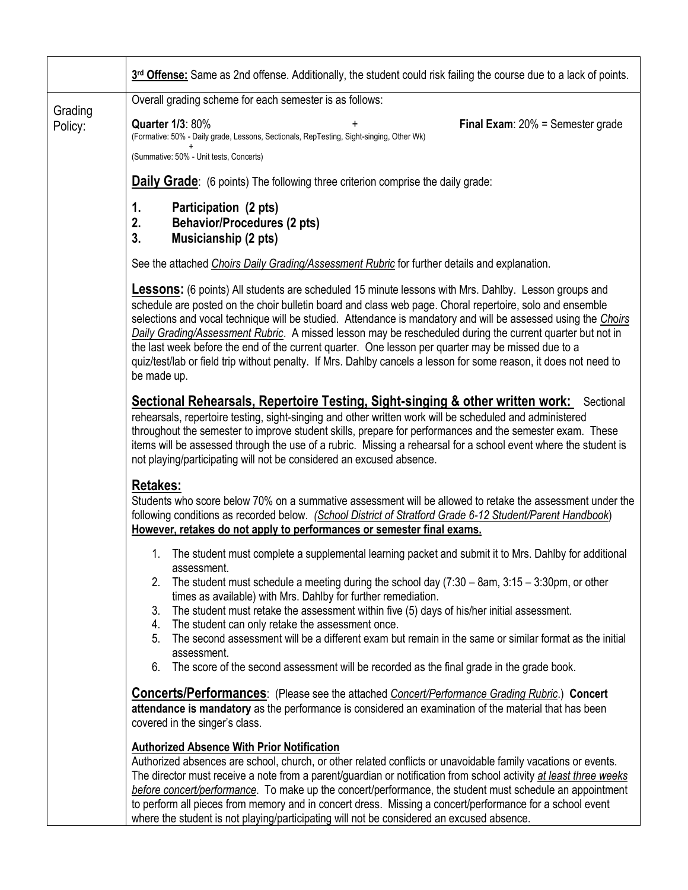|                    | 3rd Offense: Same as 2nd offense. Additionally, the student could risk failing the course due to a lack of points.                                                                                                                                                                                                                                                                                                                                                                                                                                                                                                                                                                              |  |  |  |  |  |  |
|--------------------|-------------------------------------------------------------------------------------------------------------------------------------------------------------------------------------------------------------------------------------------------------------------------------------------------------------------------------------------------------------------------------------------------------------------------------------------------------------------------------------------------------------------------------------------------------------------------------------------------------------------------------------------------------------------------------------------------|--|--|--|--|--|--|
|                    | Overall grading scheme for each semester is as follows:                                                                                                                                                                                                                                                                                                                                                                                                                                                                                                                                                                                                                                         |  |  |  |  |  |  |
| Grading<br>Policy: | <b>Quarter 1/3: 80%</b><br><b>Final Exam:</b> $20%$ = Semester grade<br>(Formative: 50% - Daily grade, Lessons, Sectionals, RepTesting, Sight-singing, Other Wk)                                                                                                                                                                                                                                                                                                                                                                                                                                                                                                                                |  |  |  |  |  |  |
|                    | (Summative: 50% - Unit tests, Concerts)                                                                                                                                                                                                                                                                                                                                                                                                                                                                                                                                                                                                                                                         |  |  |  |  |  |  |
|                    | <b>Daily Grade:</b> (6 points) The following three criterion comprise the daily grade:                                                                                                                                                                                                                                                                                                                                                                                                                                                                                                                                                                                                          |  |  |  |  |  |  |
|                    | Participation (2 pts)<br>1.<br>2.<br><b>Behavior/Procedures (2 pts)</b><br>3.<br>Musicianship (2 pts)                                                                                                                                                                                                                                                                                                                                                                                                                                                                                                                                                                                           |  |  |  |  |  |  |
|                    | See the attached Choirs Daily Grading/Assessment Rubric for further details and explanation.                                                                                                                                                                                                                                                                                                                                                                                                                                                                                                                                                                                                    |  |  |  |  |  |  |
|                    | <b>Lessons:</b> (6 points) All students are scheduled 15 minute lessons with Mrs. Dahlby. Lesson groups and<br>schedule are posted on the choir bulletin board and class web page. Choral repertoire, solo and ensemble<br>selections and vocal technique will be studied. Attendance is mandatory and will be assessed using the Choirs<br>Daily Grading/Assessment Rubric. A missed lesson may be rescheduled during the current quarter but not in<br>the last week before the end of the current quarter. One lesson per quarter may be missed due to a<br>quiz/test/lab or field trip without penalty. If Mrs. Dahlby cancels a lesson for some reason, it does not need to<br>be made up. |  |  |  |  |  |  |
|                    | <b>Sectional Rehearsals, Repertoire Testing, Sight-singing &amp; other written work:</b> Sectional<br>rehearsals, repertoire testing, sight-singing and other written work will be scheduled and administered<br>throughout the semester to improve student skills, prepare for performances and the semester exam. These<br>items will be assessed through the use of a rubric. Missing a rehearsal for a school event where the student is<br>not playing/participating will not be considered an excused absence.                                                                                                                                                                            |  |  |  |  |  |  |
|                    | <b>Retakes:</b><br>Students who score below 70% on a summative assessment will be allowed to retake the assessment under the<br>following conditions as recorded below. (School District of Stratford Grade 6-12 Student/Parent Handbook)<br>However, retakes do not apply to performances or semester final exams.                                                                                                                                                                                                                                                                                                                                                                             |  |  |  |  |  |  |
|                    | The student must complete a supplemental learning packet and submit it to Mrs. Dahlby for additional<br>1.                                                                                                                                                                                                                                                                                                                                                                                                                                                                                                                                                                                      |  |  |  |  |  |  |
|                    | assessment.<br>The student must schedule a meeting during the school day $(7.30 - 8am, 3.15 - 3.30pm)$ , or other<br>2.<br>times as available) with Mrs. Dahlby for further remediation.                                                                                                                                                                                                                                                                                                                                                                                                                                                                                                        |  |  |  |  |  |  |
|                    | The student must retake the assessment within five (5) days of his/her initial assessment.<br>3.                                                                                                                                                                                                                                                                                                                                                                                                                                                                                                                                                                                                |  |  |  |  |  |  |
|                    | 4. The student can only retake the assessment once.<br>The second assessment will be a different exam but remain in the same or similar format as the initial<br>5.<br>assessment.                                                                                                                                                                                                                                                                                                                                                                                                                                                                                                              |  |  |  |  |  |  |
|                    | The score of the second assessment will be recorded as the final grade in the grade book.<br>6.                                                                                                                                                                                                                                                                                                                                                                                                                                                                                                                                                                                                 |  |  |  |  |  |  |
|                    | <b>Concerts/Performances:</b> (Please see the attached <i>Concert/Performance Grading Rubric.</i> ) Concert<br>attendance is mandatory as the performance is considered an examination of the material that has been<br>covered in the singer's class.                                                                                                                                                                                                                                                                                                                                                                                                                                          |  |  |  |  |  |  |
|                    | <b>Authorized Absence With Prior Notification</b><br>Authorized absences are school, church, or other related conflicts or unavoidable family vacations or events.<br>The director must receive a note from a parent/guardian or notification from school activity at least three weeks<br>before concert/performance. To make up the concert/performance, the student must schedule an appointment<br>to perform all pieces from memory and in concert dress. Missing a concert/performance for a school event<br>where the student is not playing/participating will not be considered an excused absence.                                                                                    |  |  |  |  |  |  |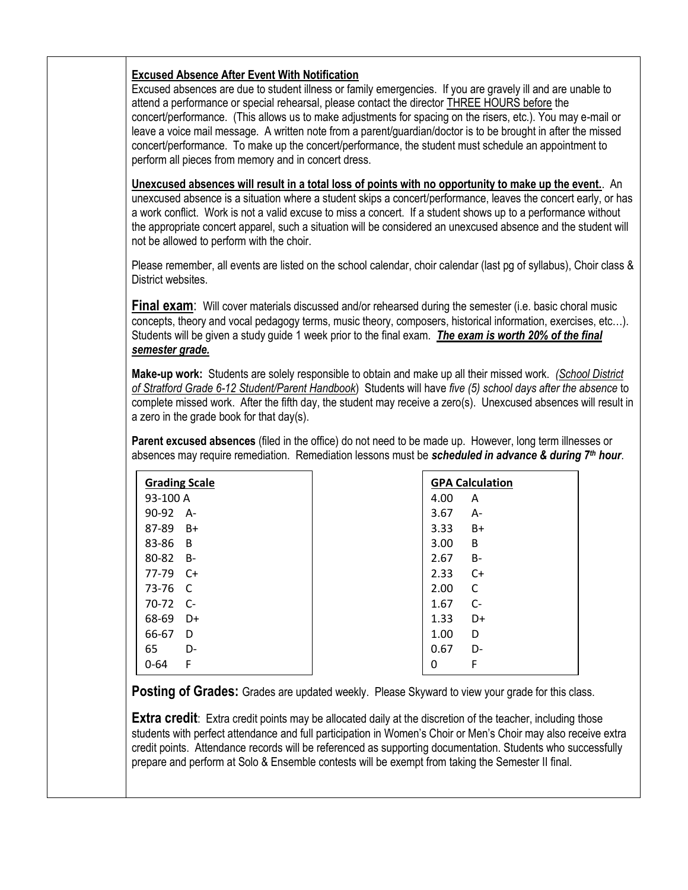## **Excused Absence After Event With Notification**

Excused absences are due to student illness or family emergencies. If you are gravely ill and are unable to attend a performance or special rehearsal, please contact the director THREE HOURS before the concert/performance. (This allows us to make adjustments for spacing on the risers, etc.). You may e-mail or leave a voice mail message. A written note from a parent/guardian/doctor is to be brought in after the missed concert/performance. To make up the concert/performance, the student must schedule an appointment to perform all pieces from memory and in concert dress.

**Unexcused absences will result in a total loss of points with no opportunity to make up the event.**. An unexcused absence is a situation where a student skips a concert/performance, leaves the concert early, or has a work conflict. Work is not a valid excuse to miss a concert. If a student shows up to a performance without the appropriate concert apparel, such a situation will be considered an unexcused absence and the student will not be allowed to perform with the choir.

Please remember, all events are listed on the school calendar, choir calendar (last pg of syllabus), Choir class & District websites.

**Final exam**: Will cover materials discussed and/or rehearsed during the semester (i.e. basic choral music concepts, theory and vocal pedagogy terms, music theory, composers, historical information, exercises, etc…). Students will be given a study guide 1 week prior to the final exam. *The exam is worth 20% of the final semester grade.*

**Make-up work:** Students are solely responsible to obtain and make up all their missed work. *(School District of Stratford Grade 6-12 Student/Parent Handbook*) Students will have *five (5) school days after the absence* to complete missed work. After the fifth day, the student may receive a zero(s). Unexcused absences will result in a zero in the grade book for that day(s).

**Parent excused absences** (filed in the office) do not need to be made up. However, long term illnesses or absences may require remediation. Remediation lessons must be *scheduled in advance & during 7 th hour*.

| <b>Grading Scale</b> | <b>GPA Calculation</b> |
|----------------------|------------------------|
| 93-100 A             | 4.00<br>A              |
| 90-92                | 3.67                   |
| - A-                 | A-                     |
| 87-89                | 3.33                   |
| $B+$                 | $B+$                   |
| 83-86                | B                      |
| B                    | 3.00                   |
| 80-82                | 2.67                   |
| <b>B-</b>            | <b>B-</b>              |
| 77-79                | 2.33                   |
| C+                   | $C+$                   |
| 73-76                | C                      |
| - C                  | 2.00                   |
| 70-72                | 1.67                   |
| - C-                 | $C-$                   |
| 68-69                | 1.33                   |
| D+                   | D+                     |
| 66-67                | 1.00                   |
| D                    | D                      |
| 65                   | 0.67                   |
| D-                   | D-                     |
| F                    | F                      |
| $0 - 64$             | 0                      |

**Posting of Grades:** Grades are updated weekly. Please Skyward to view your grade for this class.

**Extra credit**: Extra credit points may be allocated daily at the discretion of the teacher, including those students with perfect attendance and full participation in Women's Choir or Men's Choir may also receive extra credit points. Attendance records will be referenced as supporting documentation. Students who successfully prepare and perform at Solo & Ensemble contests will be exempt from taking the Semester II final.